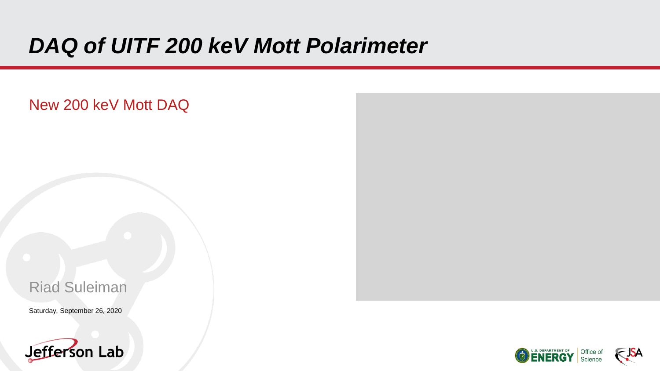# *DAQ of UITF 200 keV Mott Polarimeter*

### New 200 keV Mott DAQ

### Riad Suleiman

Saturday, September 26, 2020





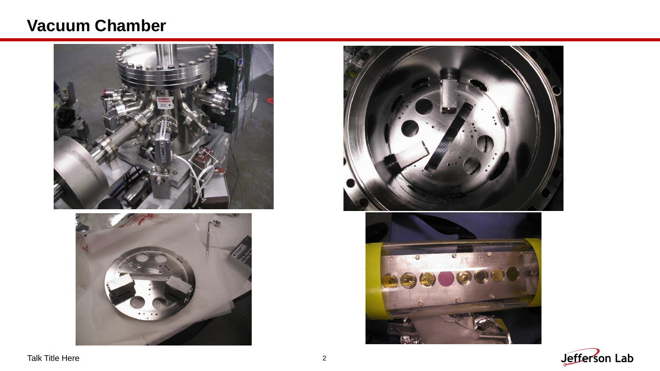### **Vacuum Chamber**









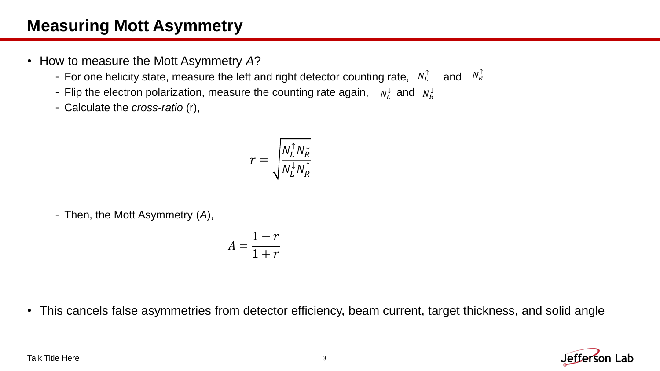## **Measuring Mott Asymmetry**

- How to measure the Mott Asymmetry *A*?
	- For one helicity state, measure the left and right detector counting rate,  $N_L^{\uparrow}$  and  $N_R^{\uparrow}$
	- Flip the electron polarization, measure the counting rate again,  $N_L^{\downarrow}$  and  $N_R^{\downarrow}$
	- -Calculate the *cross-ratio* (r),

$$
r = \sqrt{\frac{N_L^\uparrow N_R^\downarrow}{N_L^\downarrow N_R^\uparrow}}
$$

-Then, the Mott Asymmetry (*A*),

$$
A = \frac{1 - r}{1 + r}
$$

• This cancels false asymmetries from detector efficiency, beam current, target thickness, and solid angle



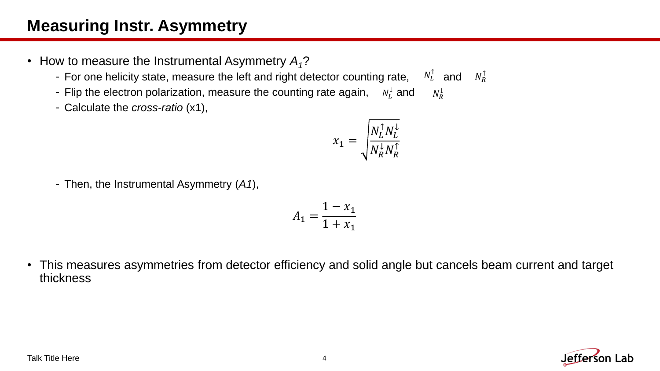## **Measuring Instr. Asymmetry**

- How to measure the Instrumental Asymmetry *A1*?
	- For one helicity state, measure the left and right detector counting rate,  $N_L^{\uparrow}$  and  $N_R^{\uparrow}$ ↑
	- Flip the electron polarization, measure the counting rate again,  $N_L^{\downarrow}$  and  $N_R^{\downarrow}$  $N_{R}^{\downarrow}$
	- -Calculate the *cross-ratio* (x1),

$$
x_1 = \sqrt{\frac{N_L^{\uparrow} N_L^{\downarrow}}{N_R^{\downarrow} N_R^{\uparrow}}}
$$

-Then, the Instrumental Asymmetry (*A1*),

$$
A_1 = \frac{1 - x_1}{1 + x_1}
$$

• This measures asymmetries from detector efficiency and solid angle but cancels beam current and target thickness

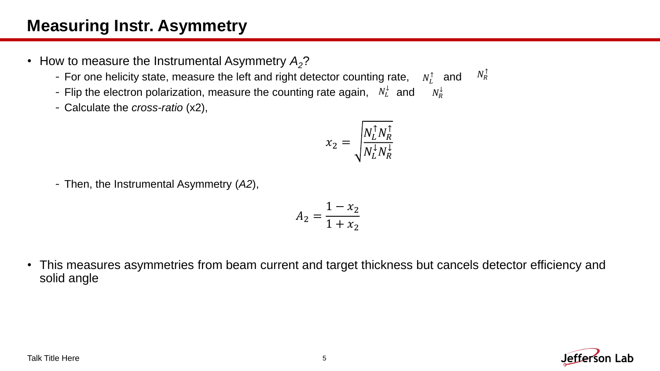## **Measuring Instr. Asymmetry**

- How to measure the Instrumental Asymmetry *A2*?
	- For one helicity state, measure the left and right detector counting rate,  $N_L^{\uparrow}$  and  $N_R^{\uparrow}$  $N_R^{\uparrow}$
	- Flip the electron polarization, measure the counting rate again,  $N_L^{\downarrow}$  and  $N_R^{\downarrow}$  $N_{R}^{\downarrow}$
	- -Calculate the *cross-ratio* (x2),

$$
x_2 = \sqrt{\frac{N_L^\uparrow N_R^\uparrow}{N_L^\downarrow N_R^\downarrow}}
$$

-Then, the Instrumental Asymmetry (*A2*),

$$
A_2 = \frac{1 - x_2}{1 + x_2}
$$

• This measures asymmetries from beam current and target thickness but cancels detector efficiency and solid angle

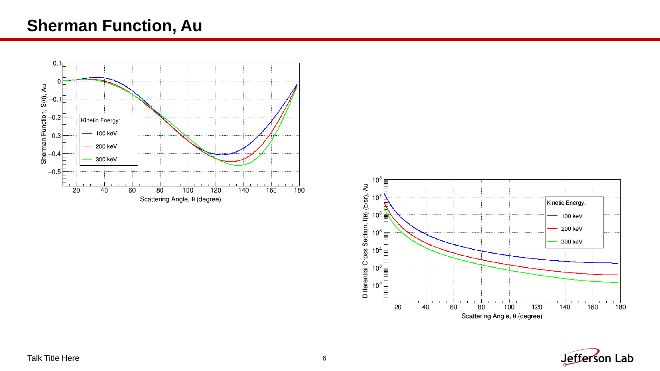### **Sherman Function, Au**





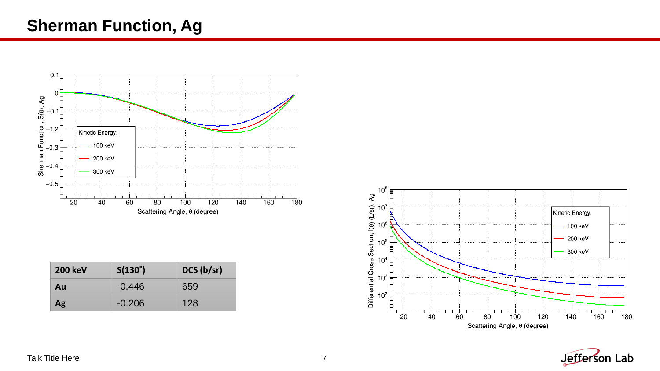### **Sherman Function, Ag**



| <b>200 keV</b> | $S(130^\circ)$ | DCS (b/sr) |
|----------------|----------------|------------|
| Au             | $-0.446$       | 659        |
| Ag             | $-0.206$       | 128        |



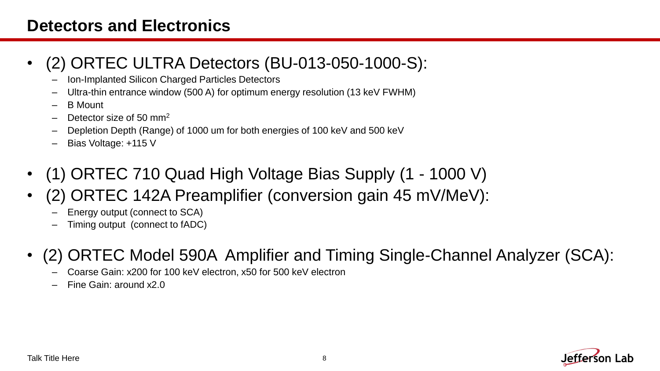### **Detectors and Electronics**

### • (2) ORTEC ULTRA Detectors (BU-013-050-1000-S):

- Ion-Implanted Silicon Charged Particles Detectors
- Ultra-thin entrance window (500 A) for optimum energy resolution (13 keV FWHM)
- B Mount
- Detector size of 50 mm<sup>2</sup>
- Depletion Depth (Range) of 1000 um for both energies of 100 keV and 500 keV
- Bias Voltage: +115 V
- (1) ORTEC 710 Quad High Voltage Bias Supply (1 1000 V)
- (2) ORTEC 142A Preamplifier (conversion gain 45 mV/MeV):
	- Energy output (connect to SCA)
	- Timing output (connect to fADC)
- (2) ORTEC Model 590A Amplifier and Timing Single-Channel Analyzer (SCA):
	- Coarse Gain: x200 for 100 keV electron, x50 for 500 keV electron
	- Fine Gain: around x2.0

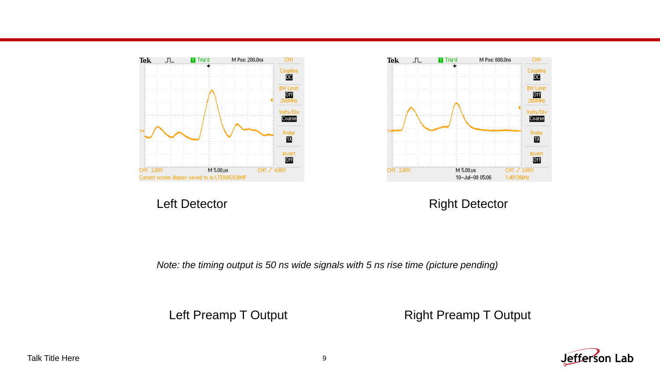



Left Detector **Right Detector Right Detector** 

*Note: the timing output is 50 ns wide signals with 5 ns rise time (picture pending)*

Left Preamp T Output **Right Preamp T Output** 

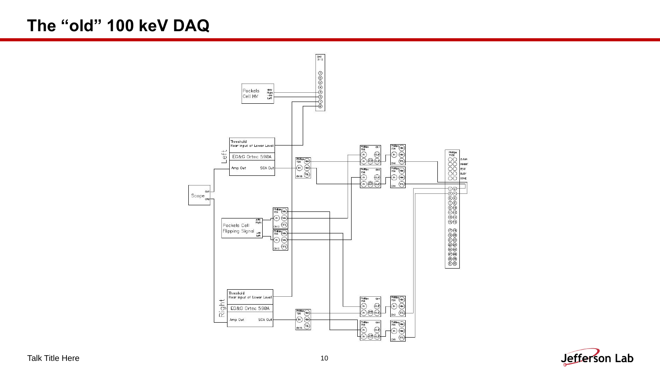### **The "old" 100 keV DAQ**



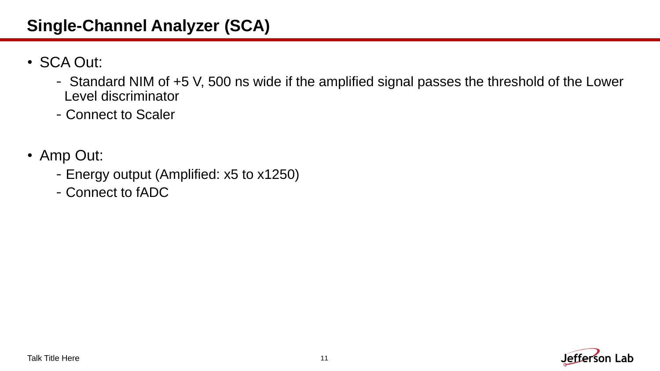## **Single-Channel Analyzer (SCA)**

- SCA Out:
	- Standard NIM of +5 V, 500 ns wide if the amplified signal passes the threshold of the Lower Level discriminator
	- -Connect to Scaler
- Amp Out:
	- -Energy output (Amplified: x5 to x1250)
	- -Connect to fADC

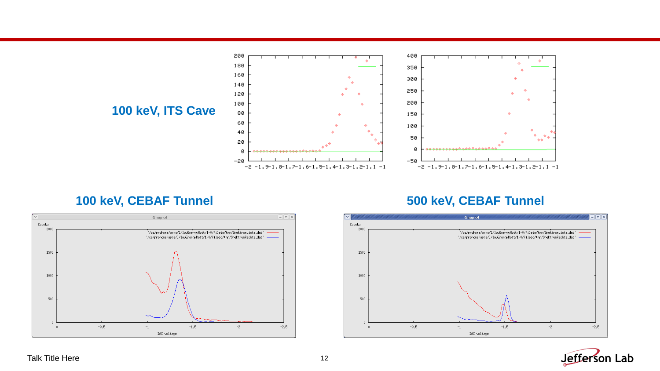

### **100 keV, CEBAF Tunnel 500 keV, CEBAF Tunnel**





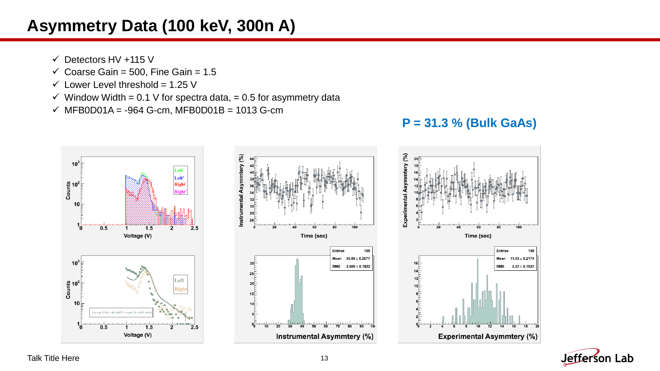### **Asymmetry Data (100 keV, 300n A)**

- $\checkmark$  Detectors HV +115 V
- $\checkmark$  Coarse Gain = 500, Fine Gain = 1.5
- $\checkmark$  Lower Level threshold = 1.25 V
- $\checkmark$  Window Width = 0.1 V for spectra data, = 0.5 for asymmetry data
- ✓ MFB0D01A = -964 G-cm, MFB0D01B = 1013 G-cm





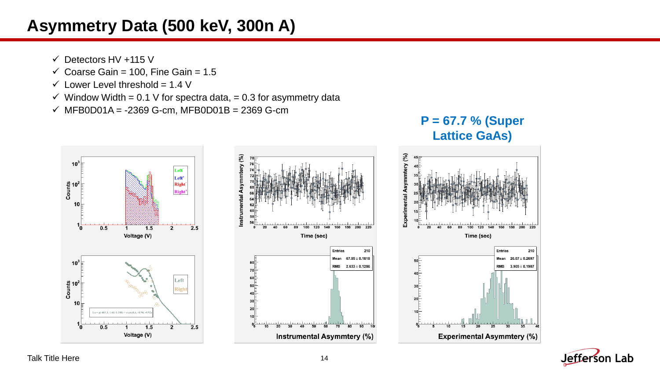### **Asymmetry Data (500 keV, 300n A)**

- $\checkmark$  Detectors HV +115 V
- $\checkmark$  Coarse Gain = 100, Fine Gain = 1.5
- $\checkmark$  Lower Level threshold = 1.4 V
- $\checkmark$  Window Width = 0.1 V for spectra data, = 0.3 for asymmetry data
- ✓ MFB0D01A = -2369 G-cm, MFB0D01B = 2369 G-cm







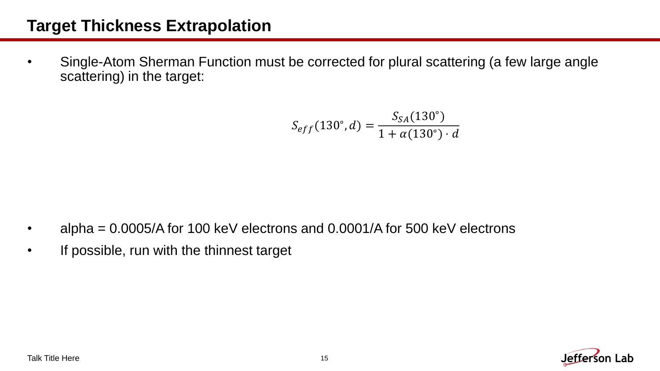### **Target Thickness Extrapolation**

• Single-Atom Sherman Function must be corrected for plural scattering (a few large angle scattering) in the target:

$$
S_{eff}(130^{\circ}, d) = \frac{S_{SA}(130^{\circ})}{1 + \alpha(130^{\circ}) \cdot d}
$$

- alpha =  $0.0005/A$  for 100 keV electrons and 0.0001/A for 500 keV electrons
- If possible, run with the thinnest target

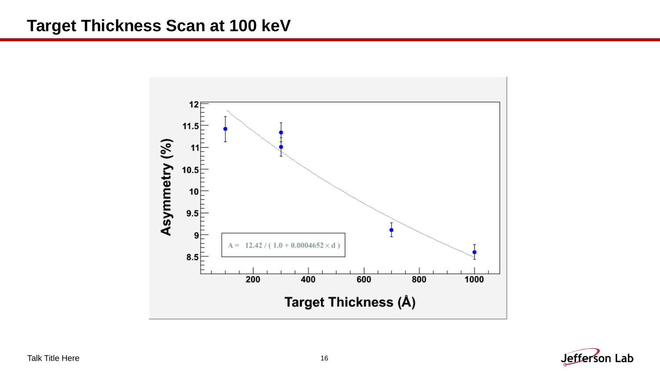### **Target Thickness Scan at 100 keV**



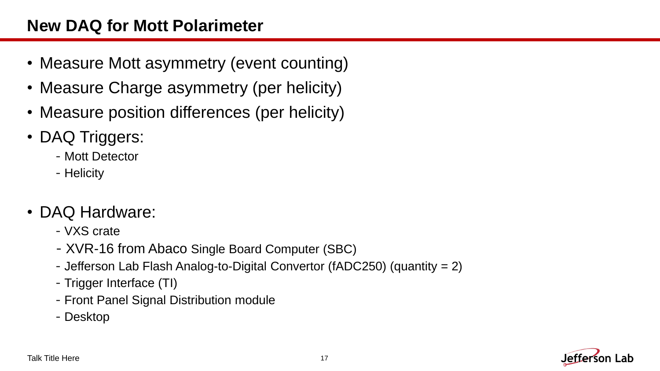### **New DAQ for Mott Polarimeter**

- Measure Mott asymmetry (event counting)
- Measure Charge asymmetry (per helicity)
- Measure position differences (per helicity)
- DAQ Triggers:
	- -Mott Detector
	- Helicity
- DAQ Hardware:
	- -VXS crate
	- -XVR-16 from Abaco Single Board Computer (SBC)
	- -Jefferson Lab Flash Analog-to-Digital Convertor (fADC250) (quantity = 2)
	- -Trigger Interface (TI)
	- -Front Panel Signal Distribution module
	- -Desktop

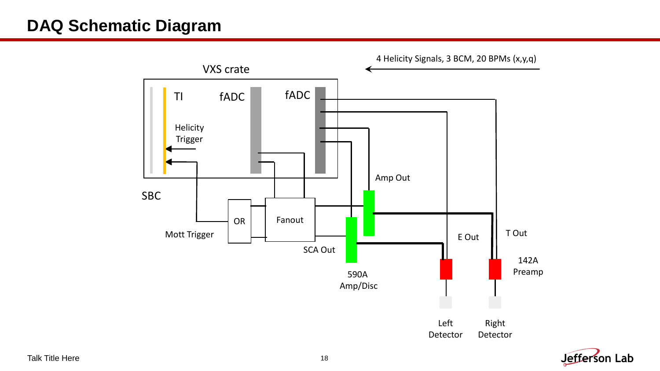### **DAQ Schematic Diagram**



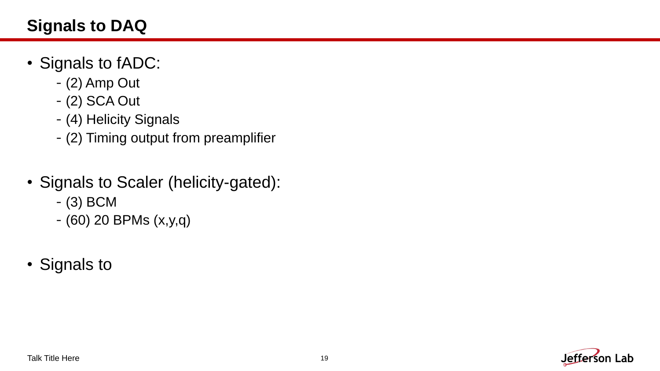## **Signals to DAQ**

- Signals to fADC:
	- -(2) Amp Out
	- -(2) SCA Out
	- -(4) Helicity Signals
	- -(2) Timing output from preamplifier
- Signals to Scaler (helicity-gated):
	- -(3) BCM
	- -(60) 20 BPMs (x,y,q)
- Signals to

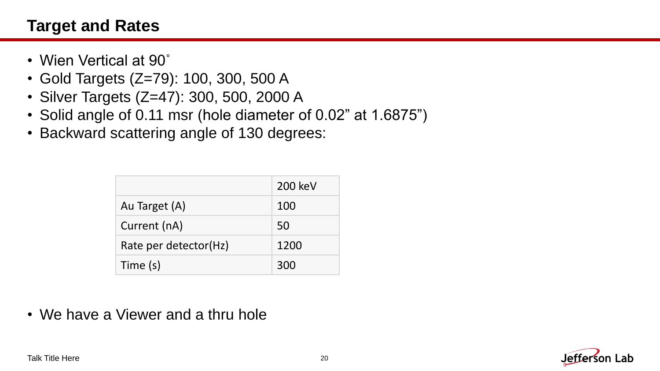### **Target and Rates**

- Wien Vertical at 90˚
- Gold Targets (Z=79): 100, 300, 500 A
- Silver Targets (Z=47): 300, 500, 2000 A
- Solid angle of 0.11 msr (hole diameter of 0.02" at 1.6875")
- Backward scattering angle of 130 degrees:

|                       | 200 keV |
|-----------------------|---------|
| Au Target (A)         | 100     |
| Current (nA)          | 50      |
| Rate per detector(Hz) | 1200    |
| Time (s)              | 300     |

• We have a Viewer and a thru hole

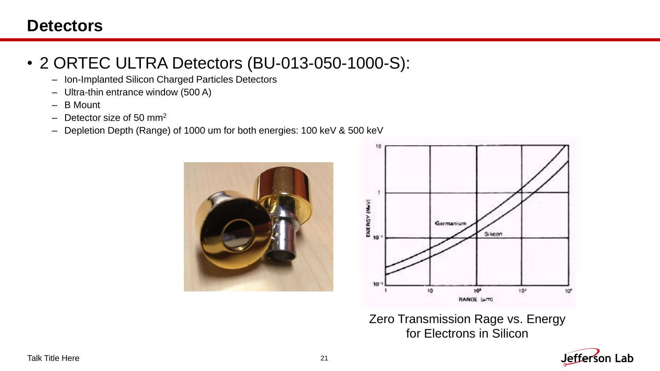### **Detectors**

## • 2 ORTEC ULTRA Detectors (BU-013-050-1000-S):

- Ion-Implanted Silicon Charged Particles Detectors
- Ultra-thin entrance window (500 A)
- B Mount
- Detector size of 50 mm<sup>2</sup>
- Depletion Depth (Range) of 1000 um for both energies: 100 keV & 500 keV





Zero Transmission Rage vs. Energy for Electrons in Silicon

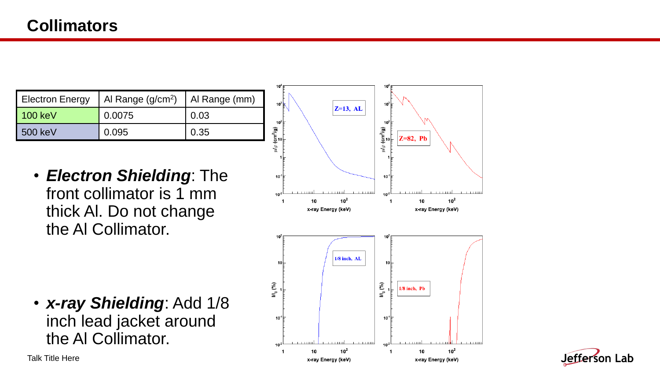| <b>Electron Energy</b> | Al Range $(g/cm2)$ | Al Range (mm) |
|------------------------|--------------------|---------------|
| 100 keV                | 0.0075             | 0.03          |
| 500 keV                | 0.095              | 0.35          |

• *Electron Shielding*: The front collimator is 1 mm thick Al. Do not change the Al Collimator.

• *x-ray Shielding*: Add 1/8 inch lead jacket around the Al Collimator.



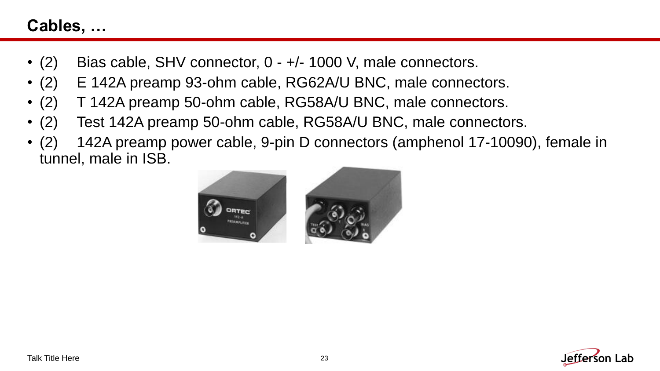### **Cables, …**

- (2) Bias cable, SHV connector,  $0 +/- 1000$  V, male connectors.
- (2) E 142A preamp 93-ohm cable, RG62A/U BNC, male connectors.
- (2) T 142A preamp 50-ohm cable, RG58A/U BNC, male connectors.
- (2) Test 142A preamp 50-ohm cable, RG58A/U BNC, male connectors.
- (2) 142A preamp power cable, 9-pin D connectors (amphenol 17-10090), female in tunnel, male in ISB.